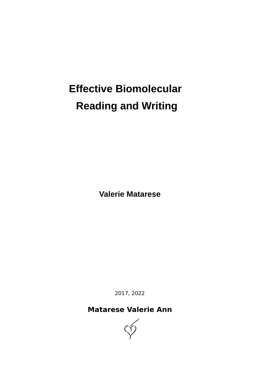# **Effective Biomolecular Reading and Writing**

**Valerie Matarese** 

2017, 2022

## **Matarese Valerie Ann**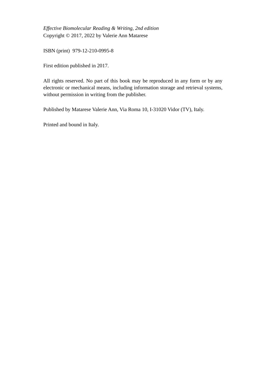Effective Biomolecular Reading & Writing, 2nd edition Copyright © 2017, 2022 by Valerie Ann Matarese

ISBN (print) 979-12-210-0995-8

First edition published in 2017.

All rights reserved. No part of this book may be reproduced in any form or by any electronic or mechanical means, including information storage and retrieval systems, without permission in writing from the publisher.

Published by Matarese Valerie Ann, Via Roma 10, I-31020 Vidor (TV), Italy.

Printed and bound in Italy.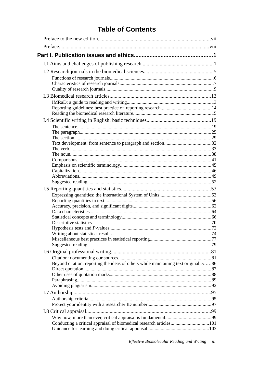# **Table of Contents**

|  | Beyond citation: reporting the ideas of others while maintaining text originality86 |  |  |  |
|--|-------------------------------------------------------------------------------------|--|--|--|
|  |                                                                                     |  |  |  |
|  |                                                                                     |  |  |  |
|  |                                                                                     |  |  |  |
|  |                                                                                     |  |  |  |
|  |                                                                                     |  |  |  |
|  |                                                                                     |  |  |  |
|  |                                                                                     |  |  |  |
|  |                                                                                     |  |  |  |
|  | Conducting a critical appraisal of biomedical research articles101                  |  |  |  |
|  |                                                                                     |  |  |  |
|  |                                                                                     |  |  |  |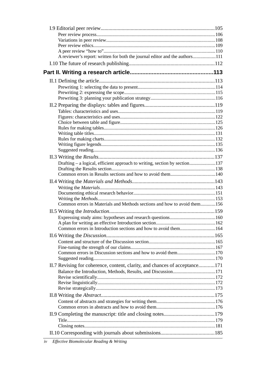| A reviewer's report: written for both the journal editor and the authors111 |  |
|-----------------------------------------------------------------------------|--|
|                                                                             |  |
|                                                                             |  |
|                                                                             |  |
|                                                                             |  |
|                                                                             |  |
|                                                                             |  |
|                                                                             |  |
|                                                                             |  |
|                                                                             |  |
|                                                                             |  |
|                                                                             |  |
|                                                                             |  |
|                                                                             |  |
|                                                                             |  |
|                                                                             |  |
|                                                                             |  |
| Drafting - a logical, efficient approach to writing, section by section137  |  |
|                                                                             |  |
|                                                                             |  |
|                                                                             |  |
|                                                                             |  |
|                                                                             |  |
| Common errors in Materials and Methods sections and how to avoid them156    |  |
|                                                                             |  |
|                                                                             |  |
|                                                                             |  |
| Common errors in Introduction sections and how to avoid them164             |  |
|                                                                             |  |
|                                                                             |  |
|                                                                             |  |
| Common errors in Discussion sections and how to avoid them170               |  |
|                                                                             |  |
| II.7 Revising for coherence, content, clarity, and chances of acceptance171 |  |
| Balance the Introduction, Methods, Results, and Discussion171               |  |
|                                                                             |  |
|                                                                             |  |
|                                                                             |  |
|                                                                             |  |
|                                                                             |  |
|                                                                             |  |
|                                                                             |  |
|                                                                             |  |
|                                                                             |  |
|                                                                             |  |
|                                                                             |  |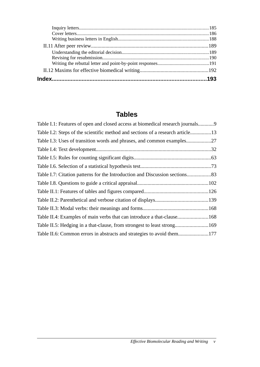# **Tables**

| Table I.1: Features of open and closed access at biomedical research journals9 |  |
|--------------------------------------------------------------------------------|--|
| Table I.2: Steps of the scientific method and sections of a research article13 |  |
| Table I.3: Uses of transition words and phrases, and common examples27         |  |
|                                                                                |  |
|                                                                                |  |
|                                                                                |  |
| Table I.7: Citation patterns for the Introduction and Discussion sections83    |  |
|                                                                                |  |
|                                                                                |  |
|                                                                                |  |
|                                                                                |  |
| Table II.4: Examples of main verbs that can introduce a that-clause168         |  |
| Table II.5: Hedging in a that-clause, from strongest to least strong169        |  |
| Table II.6: Common errors in abstracts and strategies to avoid them177         |  |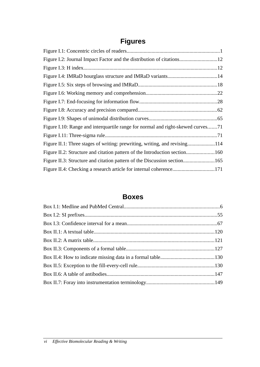# **Figures**

#### **Boxes**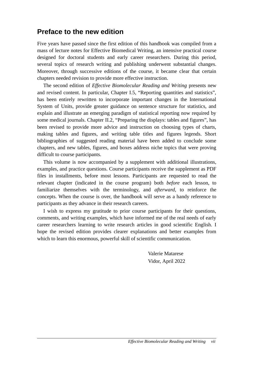#### Preface to the new edition

Five years have passed since the first edition of this handbook was compiled from a mass of lecture notes for Effective Biomedical Writing, an intensive practical course designed for doctoral students and early career researchers. During this period, several topics of research writing and publishing underwent substantial changes. Moreover, through successive editions of the course, it became clear that certain chapters needed revision to provide more effective instruction.

The second edition of *Effective Biomolecular Readina and Writina* presents new and revised content. In particular, Chapter I.5, "Reporting quantities and statistics", has been entirely rewritten to incorporate important changes in the International System of Units, provide greater guidance on sentence structure for statistics, and explain and illustrate an emerging paradigm of statistical reporting now required by some medical journals. Chapter II.2, "Preparing the displays: tables and figures", has been revised to provide more advice and instruction on choosing types of charts, making tables and figures, and writing table titles and figures legends. Short bibliographies of suggested reading material have been added to conclude some chapters, and new tables, figures, and boxes address niche topics that were proving difficult to course participants.

This volume is now accompanied by a supplement with additional illustrations, examples, and practice questions. Course participants receive the supplement as PDF files in installments, before most lessons. Participants are requested to read the relevant chapter (indicated in the course program) both before each lesson, to familiarize themselves with the terminology, and *afterward*, to reinforce the concepts. When the course is over, the handbook will serve as a handy reference to participants as they advance in their research careers.

I wish to express my gratitude to prior course participants for their questions, comments, and writing examples, which have informed me of the real needs of early career researchers learning to write research articles in good scientific English. I hope the revised edition provides clearer explanations and better examples from which to learn this enormous, powerful skill of scientific communication.

> Valerie Matarese Vidor, April 2022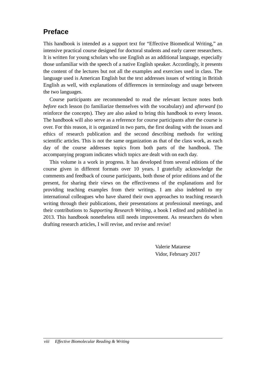## **Preface**

This handbook is intended as a support text for "Effective Biomedical Writing," an intensive practical course designed for doctoral students and early career researchers. It is written for young scholars who use English as an additional language, especially those unfamiliar with the speech of a native English speaker. Accordingly, it presents the content of the lectures but not all the examples and exercises used in class. The language used is American English but the text addresses issues of writing in British English as well, with explanations of differences in terminology and usage between the two languages.

Course participants are recommended to read the relevant lecture notes both before each lesson (to familiarize themselves with the vocabulary) and afterward (to reinforce the concepts). They are also asked to bring this handbook to every lesson. The handbook will also serve as a reference for course participants after the course is over. For this reason, it is organized in two parts, the first dealing with the issues and ethics of research publication and the second describing methods for writing scientific articles. This is not the same organization as that of the class work, as each day of the course addresses topics from both parts of the handbook. The accompanying program indicates which topics are dealt with on each day.

This volume is a work in progress. It has developed from several editions of the course given in different formats over 10 years. I gratefully acknowledge the comments and feedback of course participants, both those of prior editions and of the present, for sharing their views on the effectiveness of the explanations and for providing teaching examples from their writings. I am also indebted to my international colleagues who have shared their own approaches to teaching research writing through their publications, their presentations at professional meetings, and their contributions to Supporting Research Writing, a book I edited and published in 2013. This handbook nonetheless still needs improvement. As researchers do when drafting research articles, I will revise, and revise and revise!

> Valerie Matarese Vidor, February 2017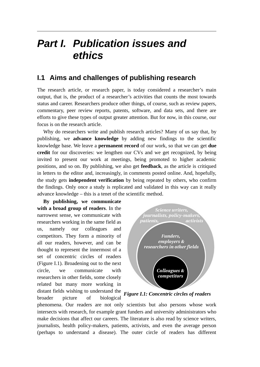# **Part I. Publication issues and** ethics

#### 1.1 Aims and challenges of publishing research

The research article, or research paper, is today considered a researcher's main output, that is, the product of a researcher's activities that counts the most towards status and career. Researchers produce other things, of course, such as review papers, commentary, peer review reports, patents, software, and data sets, and there are efforts to give these types of output greater attention. But for now, in this course, our focus is on the research article.

Why do researchers write and publish research articles? Many of us say that, by publishing, we advance knowledge by adding new findings to the scientific knowledge base. We leave a **permanent record** of our work, so that we can get **due** credit for our discoveries: we lengthen our CVs and we get recognized, by being invited to present our work at meetings, being promoted to higher academic positions, and so on. By publishing, we also get **feedback**, as the article is critiqued in letters to the editor and, increasingly, in comments posted online. And, hopefully, the study gets **independent verification** by being repeated by others, who confirm the findings. Only once a study is replicated and validated in this way can it really advance knowledge – this is a tenet of the scientific method.

By publishing, we communicate with a broad group of readers. In the narrowest sense, we communicate with researchers working in the same field as colleagues namely our and us. competitors. They form a minority of all our readers, however, and can be thought to represent the innermost of a set of concentric circles of readers (Figure I.1). Broadening out to the next circle. we communicate with researchers in other fields, some closely related but many more working in distant fields wishing to understand the Figure I.1: Concentric circles of readers biological broader picture of



phenomena. Our readers are not only scientists but also persons whose work intersects with research, for example grant funders and university administrators who make decisions that affect our careers. The literature is also read by science writers, journalists, health policy-makers, patients, activists, and even the average person (perhaps to understand a disease). The outer circle of readers has different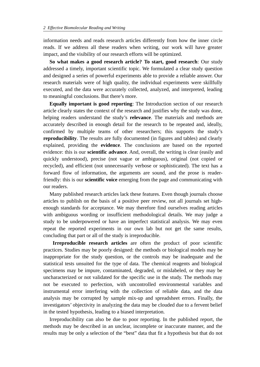information needs and reads research articles differently from how the inner circle reads. If we address all these readers when writing, our work will have greater impact, and the visibility of our research efforts will be optimized.

So what makes a good research article? To start, good research: Our study addressed a timely, important scientific topic. We formulated a clear study question and designed a series of powerful experiments able to provide a reliable answer. Our research materials were of high quality, the individual experiments were skillfully executed, and the data were accurately collected, analyzed, and interpreted, leading to meaningful conclusions. But there's more.

**Equally important is good reporting:** The Introduction section of our research article clearly states the context of the research and justifies why the study was done, helping readers understand the study's relevance. The materials and methods are accurately described in enough detail for the research to be repeated and, ideally, confirmed by multiple teams of other researchers; this supports the study's reproducibility. The results are fully documented (in figures and tables) and clearly explained, providing the evidence. The conclusions are based on the reported evidence: this is our **scientific advance**. And, overall, the writing is clear (easily and quickly understood), precise (not vague or ambiguous), original (not copied or recycled), and efficient (not unnecessarily verbose or sophisticated). The text has a forward flow of information, the arguments are sound, and the prose is readerfriendly: this is our scientific voice emerging from the page and communicating with our readers.

Many published research articles lack these features. Even though journals choose articles to publish on the basis of a positive peer review, not all journals set highenough standards for acceptance. We may therefore find ourselves reading articles with ambiguous wording or insufficient methodological details. We may judge a study to be underpowered or have an imperfect statistical analysis. We may even repeat the reported experiments in our own lab but not get the same results, concluding that part or all of the study is irreproducible.

Irreproducible research articles are often the product of poor scientific practices. Studies may be poorly designed: the methods or biological models may be inappropriate for the study question, or the controls may be inadequate and the statistical tests unsuited for the type of data. The chemical reagents and biological specimens may be impure, contaminated, degraded, or mislabeled, or they may be uncharacterized or not validated for the specific use in the study. The methods may not be executed to perfection, with uncontrolled environmental variables and instrumental error interfering with the collection of reliable data, and the data analysis may be corrupted by sample mix-up and spreadsheet errors. Finally, the investigators' objectivity in analyzing the data may be clouded due to a fervent belief in the tested hypothesis, leading to a biased interpretation.

Irreproducibility can also be due to poor reporting. In the published report, the methods may be described in an unclear, incomplete or inaccurate manner, and the results may be only a selection of the "best" data that fit a hypothesis but that do not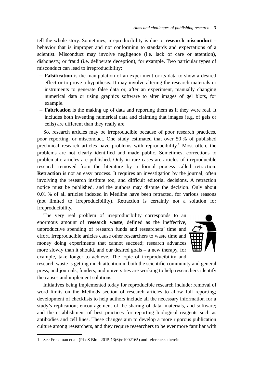tell the whole story. Sometimes, irreproducibility is due to research misconduct behavior that is improper and not conforming to standards and expectations of a scientist. Misconduct may involve negligence (i.e. lack of care or attention), dishonesty, or fraud (i.e. deliberate deception), for example. Two particular types of misconduct can lead to irreproducibility:

- Falsification is the manipulation of an experiment or its data to show a desired effect or to prove a hypothesis. It may involve altering the research materials or instruments to generate false data or, after an experiment, manually changing numerical data or using graphics software to alter images of gel blots, for example.
- Fabrication is the making up of data and reporting them as if they were real. It includes both inventing numerical data and claiming that images (e.g. of gels or cells) are different than they really are.

So, research articles may be irreproducible because of poor research practices, poor reporting, or misconduct. One study estimated that over 50 % of published preclinical research articles have problems with reproducibility.<sup>1</sup> Most often, the problems are not clearly identified and made public. Sometimes, corrections to problematic articles are published. Only in rare cases are articles of irreproducible research removed from the literature by a formal process called retraction. Retraction is not an easy process. It requires an investigation by the journal, often involving the research institute too, and difficult editorial decisions. A retraction notice must be published, and the authors may dispute the decision. Only about 0.01 % of all articles indexed in Medline have been retracted, for various reasons (not limited to irreproducibility). Retraction is certainly not a solution for irreproducibility.

The very real problem of irreproducibility corresponds to an enormous amount of research waste, defined as the ineffective, unproductive spending of research funds and researchers' time and effort. Irreproducible articles cause other researchers to waste time and money doing experiments that cannot succeed; research advances more slowly than it should, and our desired goals  $-$  a new therapy, for example, take longer to achieve. The topic of irreproducibility and



research waste is getting much attention in both the scientific community and general press, and journals, funders, and universities are working to help researchers identify the causes and implement solutions.

Initiatives being implemented today for reproducible research include: removal of word limits on the Methods section of research articles to allow full reporting; development of checklists to help authors include all the necessary information for a study's replication; encouragement of the sharing of data, materials, and software; and the establishment of best practices for reporting biological reagents such as antibodies and cell lines. These changes aim to develop a more rigorous publication culture among researchers, and they require researchers to be ever more familiar with

<sup>1</sup> See Freedman et al. (PLoS Biol. 2015;13(6):e1002165) and references therein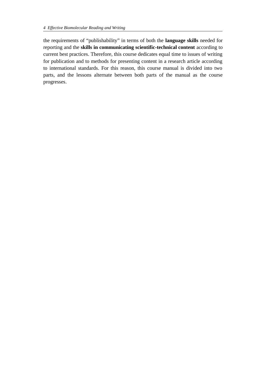the requirements of "publishability" in terms of both the language skills needed for reporting and the skills in communicating scientific-technical content according to current best practices. Therefore, this course dedicates equal time to issues of writing for publication and to methods for presenting content in a research article according to international standards. For this reason, this course manual is divided into two parts, and the lessons alternate between both parts of the manual as the course progresses.